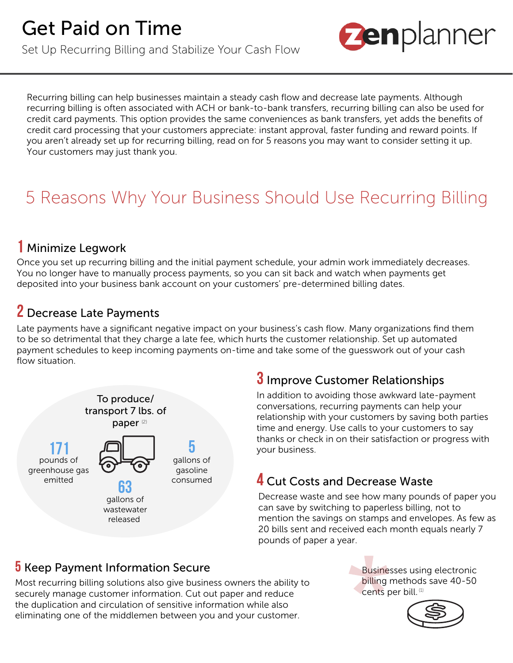Set Up Recurring Billing and Stabilize Your Cash Flow



Recurring billing can help businesses maintain a steady cash flow and decrease late payments. Although recurring billing is often associated with ACH or bank-to-bank transfers, recurring billing can also be used for credit card payments. This option provides the same conveniences as bank transfers, yet adds the benefits of credit card processing that your customers appreciate: instant approval, faster funding and reward points. If you aren't already set up for recurring billing, read on for 5 reasons you may want to consider setting it up. Your customers may just thank you.

# 5 Reasons Why Your Business Should Use Recurring Billing

### Minimize Legwork **1**

Once you set up recurring billing and the initial payment schedule, your admin work immediately decreases. You no longer have to manually process payments, so you can sit back and watch when payments get deposited into your business bank account on your customers' pre-determined billing dates.

### Decrease Late Payments **2**

Late payments have a significant negative impact on your business's cash flow. Many organizations find them to be so detrimental that they charge a late fee, which hurts the customer relationship. Set up automated payment schedules to keep incoming payments on-time and take some of the guesswork out of your cash flow situation.



## $\overline{\textbf{3}}$  Improve Customer Relationships

In addition to avoiding those awkward late-payment conversations, recurring payments can help your relationship with your customers by saving both parties time and energy. Use calls to your customers to say thanks or check in on their satisfaction or progress with your business.

### **4** Cut Costs and Decrease Waste

Decrease waste and see how many pounds of paper you can save by switching to paperless billing, not to mention the savings on stamps and envelopes. As few as 20 bills sent and received each month equals nearly 7 pounds of paper a year.

### **5** Keep Payment Information Secure

Most recurring billing solutions also give business owners the ability to securely manage customer information. Cut out paper and reduce the duplication and circulation of sensitive information while also eliminating one of the middlemen between you and your customer.

Businesses using electronic billing methods save 40-50 cents per bill.<sup>(1)</sup>